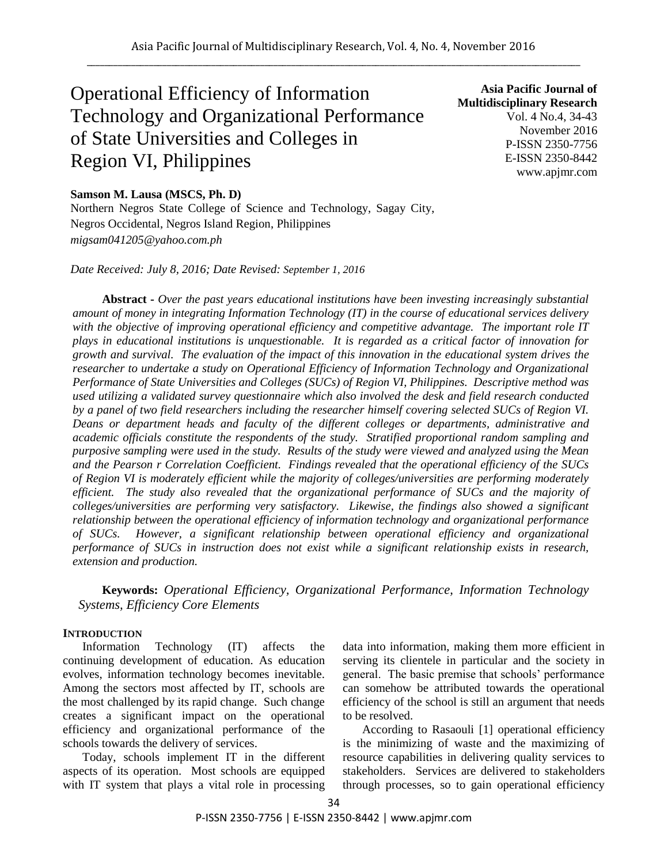# Operational Efficiency of Information Technology and Organizational Performance of State Universities and Colleges in Region VI, Philippines

**Asia Pacific Journal of Multidisciplinary Research** Vol. 4 No.4, 34-43 November 2016 P-ISSN 2350-7756 E-ISSN 2350-8442 www.apjmr.com

# **Samson M. Lausa (MSCS, Ph. D)**

Northern Negros State College of Science and Technology, Sagay City, Negros Occidental, Negros Island Region, Philippines *migsam041205@yahoo.com.ph*

*Date Received: July 8, 2016; Date Revised: September 1, 2016*

**Abstract -** *Over the past years educational institutions have been investing increasingly substantial amount of money in integrating Information Technology (IT) in the course of educational services delivery with the objective of improving operational efficiency and competitive advantage. The important role IT plays in educational institutions is unquestionable. It is regarded as a critical factor of innovation for growth and survival. The evaluation of the impact of this innovation in the educational system drives the researcher to undertake a study on Operational Efficiency of Information Technology and Organizational Performance of State Universities and Colleges (SUCs) of Region VI, Philippines. Descriptive method was used utilizing a validated survey questionnaire which also involved the desk and field research conducted by a panel of two field researchers including the researcher himself covering selected SUCs of Region VI. Deans or department heads and faculty of the different colleges or departments, administrative and academic officials constitute the respondents of the study. Stratified proportional random sampling and purposive sampling were used in the study. Results of the study were viewed and analyzed using the Mean and the Pearson r Correlation Coefficient. Findings revealed that the operational efficiency of the SUCs of Region VI is moderately efficient while the majority of colleges/universities are performing moderately efficient. The study also revealed that the organizational performance of SUCs and the majority of colleges/universities are performing very satisfactory. Likewise, the findings also showed a significant relationship between the operational efficiency of information technology and organizational performance of SUCs. However, a significant relationship between operational efficiency and organizational performance of SUCs in instruction does not exist while a significant relationship exists in research, extension and production.*

**Keywords:** *Operational Efficiency, Organizational Performance, Information Technology Systems, Efficiency Core Elements*

## **INTRODUCTION**

Information Technology (IT) affects the continuing development of education. As education evolves, information technology becomes inevitable. Among the sectors most affected by IT, schools are the most challenged by its rapid change. Such change creates a significant impact on the operational efficiency and organizational performance of the schools towards the delivery of services.

Today, schools implement IT in the different aspects of its operation. Most schools are equipped with IT system that plays a vital role in processing

data into information, making them more efficient in serving its clientele in particular and the society in general. The basic premise that schools' performance can somehow be attributed towards the operational efficiency of the school is still an argument that needs to be resolved.

According to Rasaouli [1] operational efficiency is the minimizing of waste and the maximizing of resource capabilities in delivering quality services to stakeholders. Services are delivered to stakeholders through processes, so to gain operational efficiency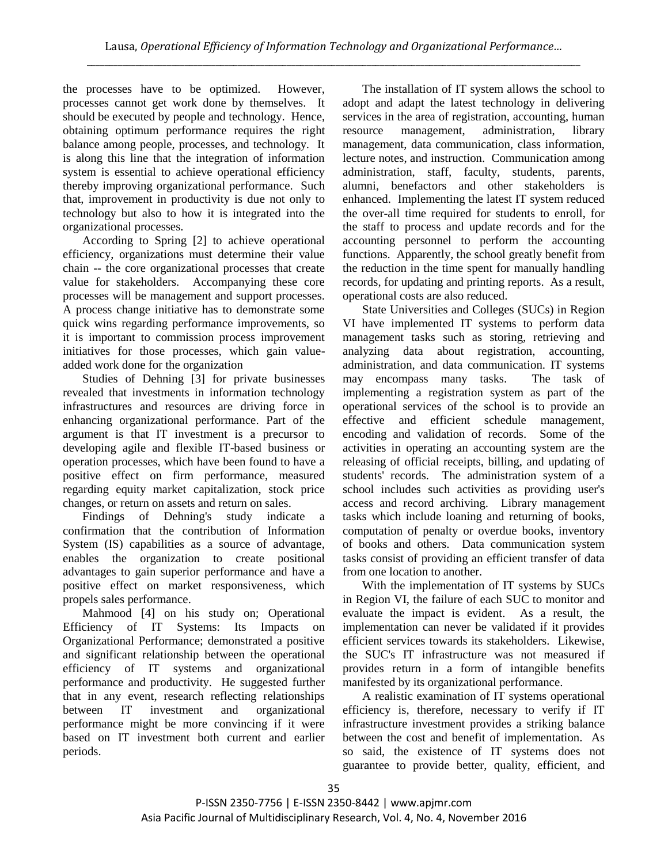the processes have to be optimized. However, processes cannot get work done by themselves. It should be executed by people and technology. Hence, obtaining optimum performance requires the right balance among people, processes, and technology. It is along this line that the integration of information system is essential to achieve operational efficiency thereby improving organizational performance. Such that, improvement in productivity is due not only to technology but also to how it is integrated into the organizational processes.

According to Spring [2] to achieve operational efficiency, organizations must determine their value chain -- the core organizational processes that create value for stakeholders. Accompanying these core processes will be management and support processes. A process change initiative has to demonstrate some quick wins regarding performance improvements, so it is important to commission process improvement initiatives for those processes, which gain valueadded work done for the organization

Studies of Dehning [3] for private businesses revealed that investments in information technology infrastructures and resources are driving force in enhancing organizational performance. Part of the argument is that IT investment is a precursor to developing agile and flexible IT-based business or operation processes, which have been found to have a positive effect on firm performance, measured regarding equity market capitalization, stock price changes, or return on assets and return on sales.

Findings of Dehning's study indicate a confirmation that the contribution of Information System (IS) capabilities as a source of advantage, enables the organization to create positional advantages to gain superior performance and have a positive effect on market responsiveness, which propels sales performance.

Mahmood [4] on his study on; Operational Efficiency of IT Systems: Its Impacts on Organizational Performance; demonstrated a positive and significant relationship between the operational efficiency of IT systems and organizational performance and productivity. He suggested further that in any event, research reflecting relationships between IT investment and organizational performance might be more convincing if it were based on IT investment both current and earlier periods.

The installation of IT system allows the school to adopt and adapt the latest technology in delivering services in the area of registration, accounting, human resource management, administration, library management, data communication, class information, lecture notes, and instruction. Communication among administration, staff, faculty, students, parents, alumni, benefactors and other stakeholders is enhanced. Implementing the latest IT system reduced the over-all time required for students to enroll, for the staff to process and update records and for the accounting personnel to perform the accounting functions. Apparently, the school greatly benefit from the reduction in the time spent for manually handling records, for updating and printing reports. As a result, operational costs are also reduced.

State Universities and Colleges (SUCs) in Region VI have implemented IT systems to perform data management tasks such as storing, retrieving and analyzing data about registration, accounting, administration, and data communication. IT systems may encompass many tasks. The task of implementing a registration system as part of the operational services of the school is to provide an effective and efficient schedule management, encoding and validation of records. Some of the activities in operating an accounting system are the releasing of official receipts, billing, and updating of students' records. The administration system of a school includes such activities as providing user's access and record archiving. Library management tasks which include loaning and returning of books, computation of penalty or overdue books, inventory of books and others. Data communication system tasks consist of providing an efficient transfer of data from one location to another.

With the implementation of IT systems by SUCs in Region VI, the failure of each SUC to monitor and evaluate the impact is evident. As a result, the implementation can never be validated if it provides efficient services towards its stakeholders. Likewise, the SUC's IT infrastructure was not measured if provides return in a form of intangible benefits manifested by its organizational performance.

A realistic examination of IT systems operational efficiency is, therefore, necessary to verify if IT infrastructure investment provides a striking balance between the cost and benefit of implementation. As so said, the existence of IT systems does not guarantee to provide better, quality, efficient, and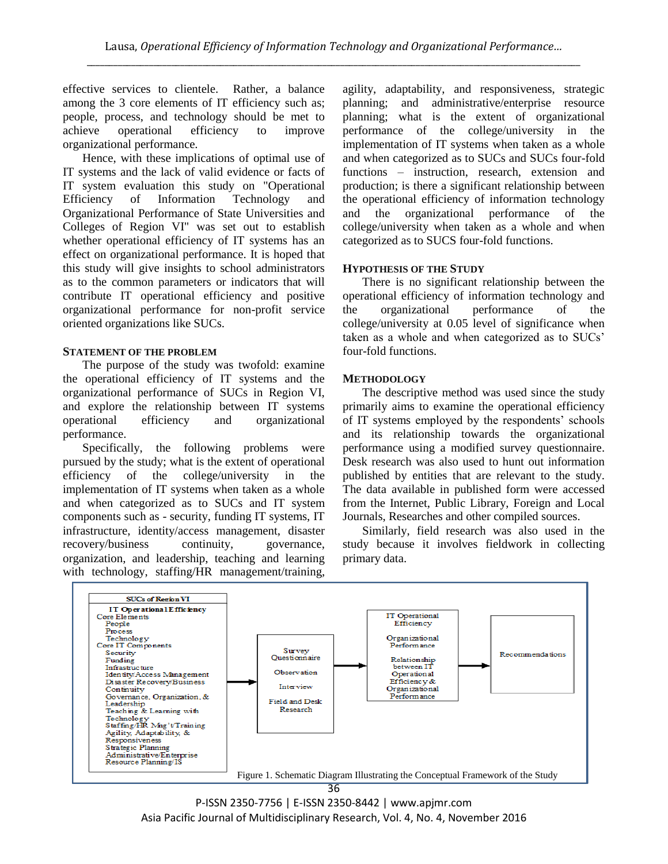effective services to clientele. Rather, a balance among the 3 core elements of IT efficiency such as; people, process, and technology should be met to achieve operational efficiency to improve organizational performance.

Hence, with these implications of optimal use of IT systems and the lack of valid evidence or facts of IT system evaluation this study on "Operational Efficiency of Information Technology and Organizational Performance of State Universities and Colleges of Region VI" was set out to establish whether operational efficiency of IT systems has an effect on organizational performance. It is hoped that this study will give insights to school administrators as to the common parameters or indicators that will contribute IT operational efficiency and positive organizational performance for non-profit service oriented organizations like SUCs.

# **STATEMENT OF THE PROBLEM**

The purpose of the study was twofold: examine the operational efficiency of IT systems and the organizational performance of SUCs in Region VI, and explore the relationship between IT systems operational efficiency and organizational performance.

Specifically, the following problems were pursued by the study; what is the extent of operational efficiency of the college/university in the implementation of IT systems when taken as a whole and when categorized as to SUCs and IT system components such as - security, funding IT systems, IT infrastructure, identity/access management, disaster recovery/business continuity, governance, organization, and leadership, teaching and learning with technology, staffing/HR management/training,

agility, adaptability, and responsiveness, strategic planning; and administrative/enterprise resource planning; what is the extent of organizational performance of the college/university in the implementation of IT systems when taken as a whole and when categorized as to SUCs and SUCs four-fold functions – instruction, research, extension and production; is there a significant relationship between the operational efficiency of information technology and the organizational performance of the college/university when taken as a whole and when categorized as to SUCS four-fold functions.

# **HYPOTHESIS OF THE STUDY**

There is no significant relationship between the operational efficiency of information technology and the organizational performance of the college/university at 0.05 level of significance when taken as a whole and when categorized as to SUCs' four-fold functions.

# **METHODOLOGY**

The descriptive method was used since the study primarily aims to examine the operational efficiency of IT systems employed by the respondents' schools and its relationship towards the organizational performance using a modified survey questionnaire. Desk research was also used to hunt out information published by entities that are relevant to the study. The data available in published form were accessed from the Internet, Public Library, Foreign and Local Journals, Researches and other compiled sources.

Similarly, field research was also used in the study because it involves fieldwork in collecting primary data.



P-ISSN 2350-7756 | E-ISSN 2350-8442 | www.apjmr.com Asia Pacific Journal of Multidisciplinary Research, Vol. 4, No. 4, November 2016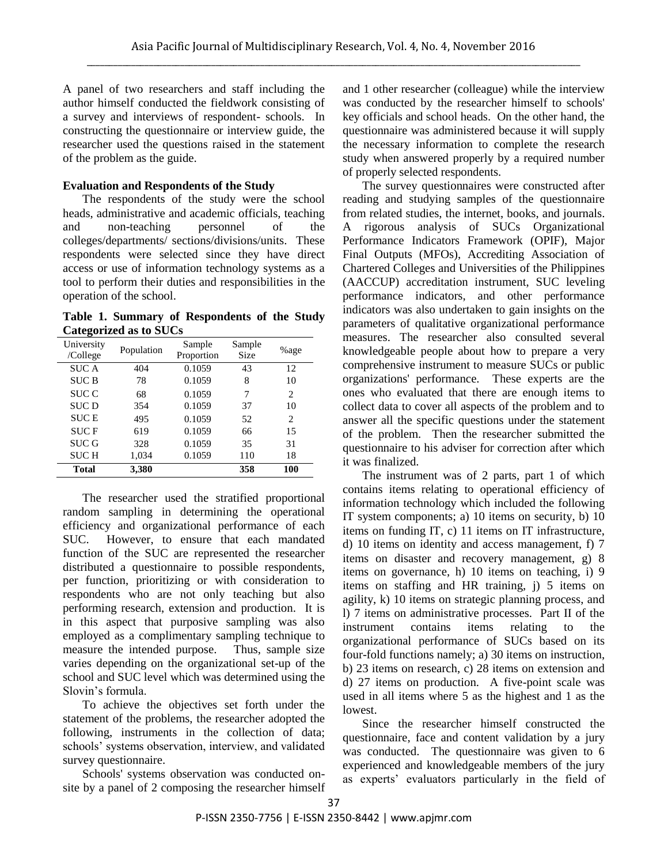A panel of two researchers and staff including the author himself conducted the fieldwork consisting of a survey and interviews of respondent- schools. In constructing the questionnaire or interview guide, the researcher used the questions raised in the statement of the problem as the guide.

# **Evaluation and Respondents of the Study**

The respondents of the study were the school heads, administrative and academic officials, teaching and non-teaching personnel of the colleges/departments/ sections/divisions/units. These respondents were selected since they have direct access or use of information technology systems as a tool to perform their duties and responsibilities in the operation of the school.

**Table 1. Summary of Respondents of the Study Categorized as to SUCs**

| University<br>/College | Population | Sample<br>Proportion | Sample<br><b>Size</b> | %age           |
|------------------------|------------|----------------------|-----------------------|----------------|
| <b>SUCA</b>            | 404        | 0.1059               | 43                    | 12             |
| <b>SUCB</b>            | 78         | 0.1059               | 8                     | 10             |
| <b>SUC C</b>           | 68         | 0.1059               | 7                     | 2              |
| <b>SUCD</b>            | 354        | 0.1059               | 37                    | 10             |
| <b>SUCE</b>            | 495        | 0.1059               | 52                    | $\mathfrak{D}$ |
| <b>SUCF</b>            | 619        | 0.1059               | 66                    | 15             |
| <b>SUC G</b>           | 328        | 0.1059               | 35                    | 31             |
| <b>SUCH</b>            | 1,034      | 0.1059               | 110                   | 18             |
| <b>Total</b>           | 3,380      |                      | 358                   | 100            |

The researcher used the stratified proportional random sampling in determining the operational efficiency and organizational performance of each SUC. However, to ensure that each mandated function of the SUC are represented the researcher distributed a questionnaire to possible respondents, per function, prioritizing or with consideration to respondents who are not only teaching but also performing research, extension and production. It is in this aspect that purposive sampling was also employed as a complimentary sampling technique to measure the intended purpose. Thus, sample size varies depending on the organizational set-up of the school and SUC level which was determined using the Slovin's formula.

To achieve the objectives set forth under the statement of the problems, the researcher adopted the following, instruments in the collection of data; schools' systems observation, interview, and validated survey questionnaire.

Schools' systems observation was conducted onsite by a panel of 2 composing the researcher himself and 1 other researcher (colleague) while the interview was conducted by the researcher himself to schools' key officials and school heads. On the other hand, the questionnaire was administered because it will supply the necessary information to complete the research study when answered properly by a required number of properly selected respondents.

The survey questionnaires were constructed after reading and studying samples of the questionnaire from related studies, the internet, books, and journals. A rigorous analysis of SUCs Organizational Performance Indicators Framework (OPIF), Major Final Outputs (MFOs), Accrediting Association of Chartered Colleges and Universities of the Philippines (AACCUP) accreditation instrument, SUC leveling performance indicators, and other performance indicators was also undertaken to gain insights on the parameters of qualitative organizational performance measures. The researcher also consulted several knowledgeable people about how to prepare a very comprehensive instrument to measure SUCs or public organizations' performance. These experts are the ones who evaluated that there are enough items to collect data to cover all aspects of the problem and to answer all the specific questions under the statement of the problem. Then the researcher submitted the questionnaire to his adviser for correction after which it was finalized.

The instrument was of 2 parts, part 1 of which contains items relating to operational efficiency of information technology which included the following IT system components; a) 10 items on security, b) 10 items on funding IT, c) 11 items on IT infrastructure, d) 10 items on identity and access management, f) 7 items on disaster and recovery management, g) 8 items on governance, h) 10 items on teaching, i) 9 items on staffing and HR training, j) 5 items on agility, k) 10 items on strategic planning process, and l) 7 items on administrative processes. Part II of the instrument contains items relating to the organizational performance of SUCs based on its four-fold functions namely; a) 30 items on instruction, b) 23 items on research, c) 28 items on extension and d) 27 items on production. A five-point scale was used in all items where 5 as the highest and 1 as the lowest.

Since the researcher himself constructed the questionnaire, face and content validation by a jury was conducted. The questionnaire was given to 6 experienced and knowledgeable members of the jury as experts' evaluators particularly in the field of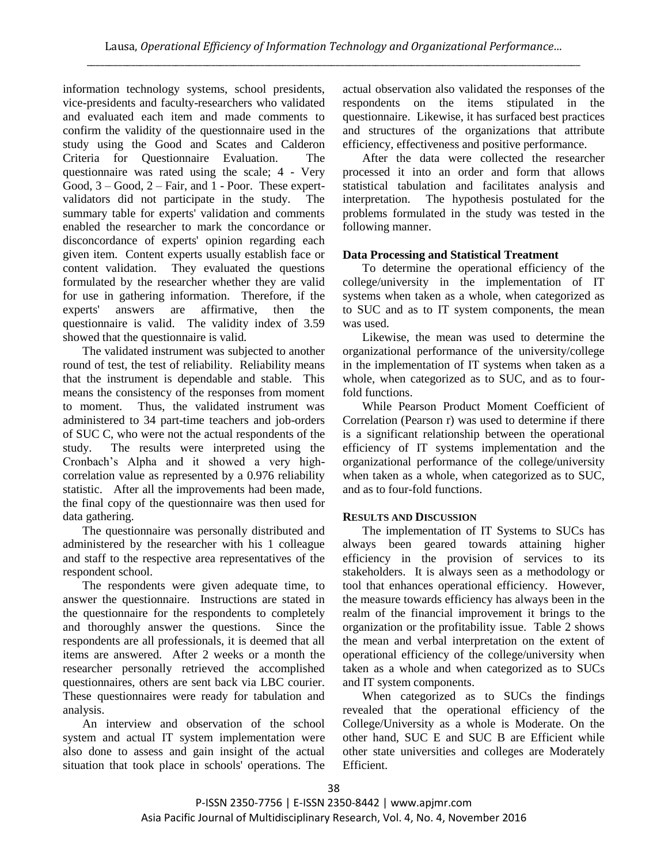information technology systems, school presidents, vice-presidents and faculty-researchers who validated and evaluated each item and made comments to confirm the validity of the questionnaire used in the study using the Good and Scates and Calderon Criteria for Questionnaire Evaluation. The questionnaire was rated using the scale; 4 - Very Good, 3 – Good, 2 – Fair, and 1 - Poor. These expertvalidators did not participate in the study. The summary table for experts' validation and comments enabled the researcher to mark the concordance or disconcordance of experts' opinion regarding each given item. Content experts usually establish face or content validation. They evaluated the questions formulated by the researcher whether they are valid for use in gathering information. Therefore, if the experts' answers are affirmative, then the questionnaire is valid. The validity index of 3.59 showed that the questionnaire is valid.

The validated instrument was subjected to another round of test, the test of reliability. Reliability means that the instrument is dependable and stable. This means the consistency of the responses from moment to moment. Thus, the validated instrument was administered to 34 part-time teachers and job-orders of SUC C, who were not the actual respondents of the study. The results were interpreted using the Cronbach's Alpha and it showed a very highcorrelation value as represented by a 0.976 reliability statistic. After all the improvements had been made, the final copy of the questionnaire was then used for data gathering.

The questionnaire was personally distributed and administered by the researcher with his 1 colleague and staff to the respective area representatives of the respondent school.

The respondents were given adequate time, to answer the questionnaire. Instructions are stated in the questionnaire for the respondents to completely and thoroughly answer the questions. Since the respondents are all professionals, it is deemed that all items are answered. After 2 weeks or a month the researcher personally retrieved the accomplished questionnaires, others are sent back via LBC courier. These questionnaires were ready for tabulation and analysis.

An interview and observation of the school system and actual IT system implementation were also done to assess and gain insight of the actual situation that took place in schools' operations. The actual observation also validated the responses of the respondents on the items stipulated in the questionnaire. Likewise, it has surfaced best practices and structures of the organizations that attribute efficiency, effectiveness and positive performance.

After the data were collected the researcher processed it into an order and form that allows statistical tabulation and facilitates analysis and interpretation. The hypothesis postulated for the problems formulated in the study was tested in the following manner.

# **Data Processing and Statistical Treatment**

To determine the operational efficiency of the college/university in the implementation of IT systems when taken as a whole, when categorized as to SUC and as to IT system components, the mean was used.

Likewise, the mean was used to determine the organizational performance of the university/college in the implementation of IT systems when taken as a whole, when categorized as to SUC, and as to fourfold functions.

While Pearson Product Moment Coefficient of Correlation (Pearson r) was used to determine if there is a significant relationship between the operational efficiency of IT systems implementation and the organizational performance of the college/university when taken as a whole, when categorized as to SUC, and as to four-fold functions.

# **RESULTS AND DISCUSSION**

The implementation of IT Systems to SUCs has always been geared towards attaining higher efficiency in the provision of services to its stakeholders. It is always seen as a methodology or tool that enhances operational efficiency. However, the measure towards efficiency has always been in the realm of the financial improvement it brings to the organization or the profitability issue. Table 2 shows the mean and verbal interpretation on the extent of operational efficiency of the college/university when taken as a whole and when categorized as to SUCs and IT system components.

When categorized as to SUCs the findings revealed that the operational efficiency of the College/University as a whole is Moderate. On the other hand, SUC E and SUC B are Efficient while other state universities and colleges are Moderately Efficient.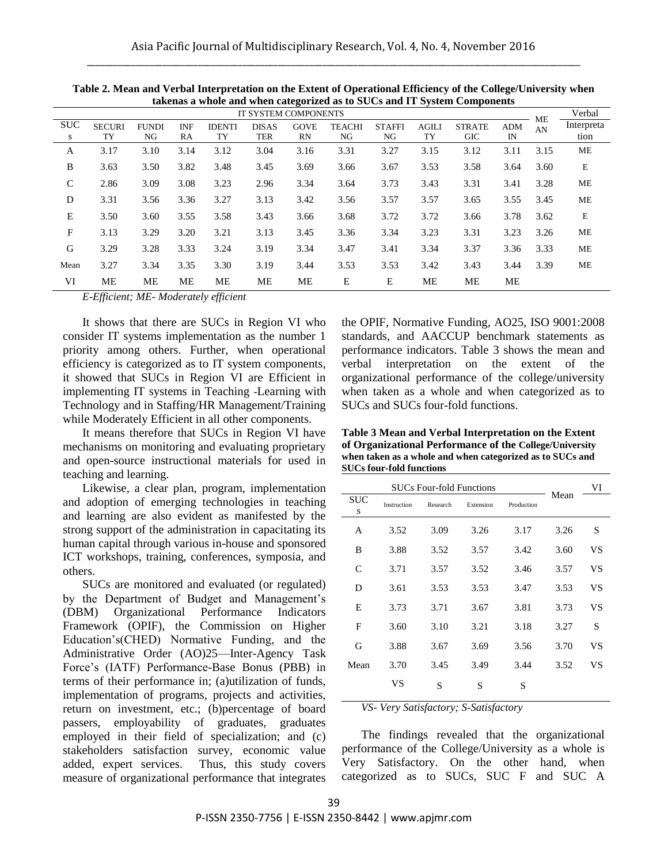|                 |                     |                    |                  |                     | IT SYSTEM COMPONENTS |                   |                     |                     |                    | $\alpha$ called the control of $\alpha$ is $\alpha$ and $\alpha$ in $\beta$ seems components |                  |          | Verbal             |
|-----------------|---------------------|--------------------|------------------|---------------------|----------------------|-------------------|---------------------|---------------------|--------------------|----------------------------------------------------------------------------------------------|------------------|----------|--------------------|
| <b>SUC</b><br>S | <b>SECURI</b><br>TY | <b>FUNDI</b><br>NG | <b>INF</b><br>RA | <b>IDENTI</b><br>TY | <b>DISAS</b><br>TER  | <b>GOVE</b><br>RN | <b>TEACHI</b><br>NG | <b>STAFFI</b><br>NG | <b>AGILI</b><br>TY | <b>STRATE</b><br><b>GIC</b>                                                                  | <b>ADM</b><br>IN | ME<br>AN | Interpreta<br>tion |
| A               | 3.17                | 3.10               | 3.14             | 3.12                | 3.04                 | 3.16              | 3.31                | 3.27                | 3.15               | 3.12                                                                                         | 3.11             | 3.15     | ME                 |
| B               | 3.63                | 3.50               | 3.82             | 3.48                | 3.45                 | 3.69              | 3.66                | 3.67                | 3.53               | 3.58                                                                                         | 3.64             | 3.60     | E                  |
| $\mathsf{C}$    | 2.86                | 3.09               | 3.08             | 3.23                | 2.96                 | 3.34              | 3.64                | 3.73                | 3.43               | 3.31                                                                                         | 3.41             | 3.28     | ME                 |
| D               | 3.31                | 3.56               | 3.36             | 3.27                | 3.13                 | 3.42              | 3.56                | 3.57                | 3.57               | 3.65                                                                                         | 3.55             | 3.45     | ME                 |
| E               | 3.50                | 3.60               | 3.55             | 3.58                | 3.43                 | 3.66              | 3.68                | 3.72                | 3.72               | 3.66                                                                                         | 3.78             | 3.62     | $\mathbf E$        |
| F               | 3.13                | 3.29               | 3.20             | 3.21                | 3.13                 | 3.45              | 3.36                | 3.34                | 3.23               | 3.31                                                                                         | 3.23             | 3.26     | ME                 |
| G               | 3.29                | 3.28               | 3.33             | 3.24                | 3.19                 | 3.34              | 3.47                | 3.41                | 3.34               | 3.37                                                                                         | 3.36             | 3.33     | ME                 |
| Mean            | 3.27                | 3.34               | 3.35             | 3.30                | 3.19                 | 3.44              | 3.53                | 3.53                | 3.42               | 3.43                                                                                         | 3.44             | 3.39     | ME                 |
| VI              | ME                  | MЕ                 | ME               | ME                  | ME                   | ME                | E                   | E                   | ME                 | ME                                                                                           | ME               |          |                    |

**Table 2. Mean and Verbal Interpretation on the Extent of Operational Efficiency of the College/University when takenas a whole and when categorized as to SUCs and IT System Components**

*E-Efficient; ME- Moderately efficient* 

It shows that there are SUCs in Region VI who consider IT systems implementation as the number 1 priority among others. Further, when operational efficiency is categorized as to IT system components, it showed that SUCs in Region VI are Efficient in implementing IT systems in Teaching -Learning with Technology and in Staffing/HR Management/Training while Moderately Efficient in all other components.

It means therefore that SUCs in Region VI have mechanisms on monitoring and evaluating proprietary and open-source instructional materials for used in teaching and learning.

Likewise, a clear plan, program, implementation and adoption of emerging technologies in teaching and learning are also evident as manifested by the strong support of the administration in capacitating its human capital through various in-house and sponsored ICT workshops, training, conferences, symposia, and others.

SUCs are monitored and evaluated (or regulated) by the Department of Budget and Management's (DBM) Organizational Performance Indicators Framework (OPIF), the Commission on Higher Education's(CHED) Normative Funding, and the Administrative Order (AO)25—Inter-Agency Task Force's (IATF) Performance-Base Bonus (PBB) in terms of their performance in; (a)utilization of funds, implementation of programs, projects and activities, return on investment, etc.; (b)percentage of board passers, employability of graduates, graduates employed in their field of specialization; and (c) stakeholders satisfaction survey, economic value added, expert services. Thus, this study covers measure of organizational performance that integrates

the OPIF, Normative Funding, AO25, ISO 9001:2008 standards, and AACCUP benchmark statements as performance indicators. Table 3 shows the mean and verbal interpretation on the extent of the organizational performance of the college/university when taken as a whole and when categorized as to SUCs and SUCs four-fold functions.

| Table 3 Mean and Verbal Interpretation on the Extent      |
|-----------------------------------------------------------|
| of Organizational Performance of the College/University   |
| when taken as a whole and when categorized as to SUCs and |
| <b>SUCs four-fold functions</b>                           |

|          | <b>SUCs Four-fold Functions</b> |          |           | VI         |      |    |
|----------|---------------------------------|----------|-----------|------------|------|----|
| SUC<br>S | Instruction                     | Research | Extension | Production | Mean |    |
| A        | 3.52                            | 3.09     | 3.26      | 3.17       | 3.26 | S  |
| B        | 3.88                            | 3.52     | 3.57      | 3.42       | 3.60 | VS |
| C        | 3.71                            | 3.57     | 3.52      | 3.46       | 3.57 | VS |
| D        | 3.61                            | 3.53     | 3.53      | 3.47       | 3.53 | VS |
| E        | 3.73                            | 3.71     | 3.67      | 3.81       | 3.73 | VS |
| F        | 3.60                            | 3.10     | 3.21      | 3.18       | 3.27 | S  |
| G        | 3.88                            | 3.67     | 3.69      | 3.56       | 3.70 | VS |
| Mean     | 3.70                            | 3.45     | 3.49      | 3.44       | 3.52 | VS |
|          | VS                              | S        | S         | S          |      |    |

*VS- Very Satisfactory; S-Satisfactory*

The findings revealed that the organizational performance of the College/University as a whole is Very Satisfactory. On the other hand, when categorized as to SUCs, SUC F and SUC A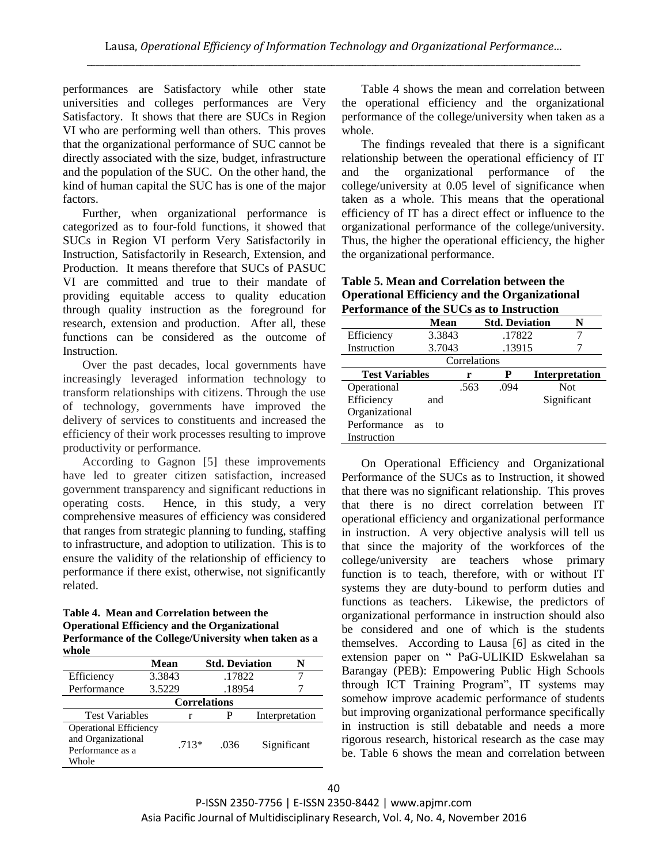performances are Satisfactory while other state universities and colleges performances are Very Satisfactory. It shows that there are SUCs in Region VI who are performing well than others. This proves that the organizational performance of SUC cannot be directly associated with the size, budget, infrastructure and the population of the SUC. On the other hand, the kind of human capital the SUC has is one of the major factors.

Further, when organizational performance is categorized as to four-fold functions, it showed that SUCs in Region VI perform Very Satisfactorily in Instruction, Satisfactorily in Research, Extension, and Production. It means therefore that SUCs of PASUC VI are committed and true to their mandate of providing equitable access to quality education through quality instruction as the foreground for research, extension and production. After all, these functions can be considered as the outcome of Instruction.

Over the past decades, local governments have increasingly leveraged information technology to transform relationships with citizens. Through the use of technology, governments have improved the delivery of services to constituents and increased the efficiency of their work processes resulting to improve productivity or performance.

According to Gagnon [5] these improvements have led to greater citizen satisfaction, increased government transparency and significant reductions in operating costs. Hence, in this study, a very comprehensive measures of efficiency was considered that ranges from strategic planning to funding, staffing to infrastructure, and adoption to utilization. This is to ensure the validity of the relationship of efficiency to performance if there exist, otherwise, not significantly related.

#### **Table 4. Mean and Correlation between the Operational Efficiency and the Organizational Performance of the College/University when taken as a whole**

|                                                                                  | Mean   |                     |        | <b>Std. Deviation</b> |  |
|----------------------------------------------------------------------------------|--------|---------------------|--------|-----------------------|--|
| Efficiency                                                                       | 3.3843 |                     | .17822 |                       |  |
| Performance                                                                      | 3.5229 |                     | .18954 |                       |  |
|                                                                                  |        | <b>Correlations</b> |        |                       |  |
| <b>Test Variables</b>                                                            |        |                     |        | Interpretation        |  |
| <b>Operational Efficiency</b><br>and Organizational<br>Performance as a<br>Whole |        | $.713*$             | .036   | Significant           |  |

Table 4 shows the mean and correlation between the operational efficiency and the organizational performance of the college/university when taken as a whole.

The findings revealed that there is a significant relationship between the operational efficiency of IT and the organizational performance of the college/university at 0.05 level of significance when taken as a whole. This means that the operational efficiency of IT has a direct effect or influence to the organizational performance of the college/university. Thus, the higher the operational efficiency, the higher the organizational performance.

## **Table 5. Mean and Correlation between the Operational Efficiency and the Organizational Performance of the SUCs as to Instruction**

|                       | Mean            |      | <b>Std. Deviation</b> |                       | N           |
|-----------------------|-----------------|------|-----------------------|-----------------------|-------------|
| Efficiency            | 3.3843          |      | .17822                |                       |             |
| Instruction           | 3.7043          |      | .13915                |                       |             |
|                       |                 |      |                       |                       |             |
| <b>Test Variables</b> | r               | P    |                       | <b>Interpretation</b> |             |
| Operational           |                 | .563 | .094                  |                       | <b>Not</b>  |
| Efficiency<br>and     |                 |      |                       |                       | Significant |
| Organizational        |                 |      |                       |                       |             |
| Performance           | <b>as</b><br>to |      |                       |                       |             |
| Instruction           |                 |      |                       |                       |             |

On Operational Efficiency and Organizational Performance of the SUCs as to Instruction, it showed that there was no significant relationship. This proves that there is no direct correlation between IT operational efficiency and organizational performance in instruction. A very objective analysis will tell us that since the majority of the workforces of the college/university are teachers whose primary function is to teach, therefore, with or without IT systems they are duty-bound to perform duties and functions as teachers. Likewise, the predictors of organizational performance in instruction should also be considered and one of which is the students themselves. According to Lausa [6] as cited in the extension paper on "PaG-ULIKID Eskwelahan sa Barangay (PEB): Empowering Public High Schools through ICT Training Program", IT systems may somehow improve academic performance of students but improving organizational performance specifically in instruction is still debatable and needs a more rigorous research, historical research as the case may be. Table 6 shows the mean and correlation between

P-ISSN 2350-7756 | E-ISSN 2350-8442 | www.apjmr.com Asia Pacific Journal of Multidisciplinary Research, Vol. 4, No. 4, November 2016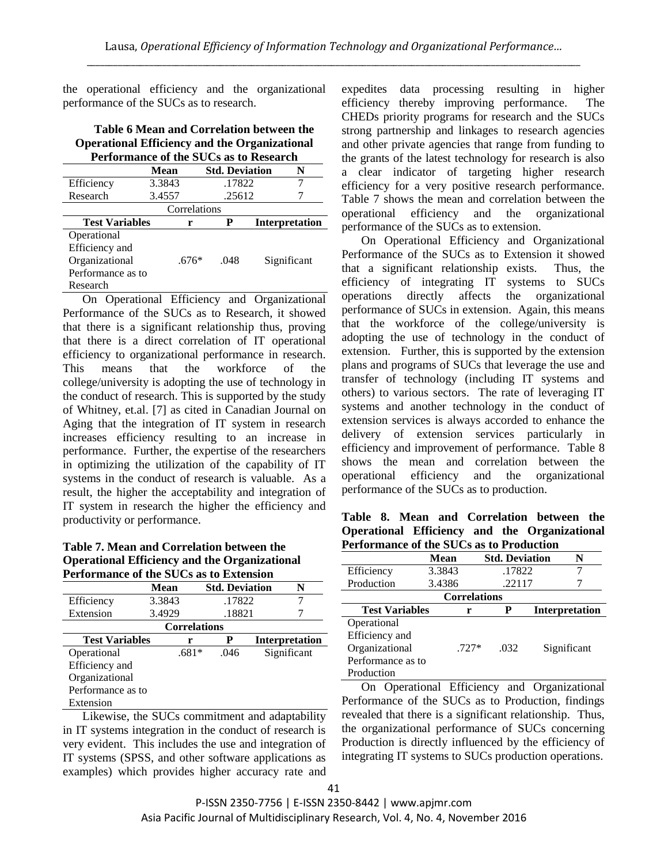the operational efficiency and the organizational performance of the SUCs as to research.

## **Table 6 Mean and Correlation between the Operational Efficiency and the Organizational Performance of the SUCs as to Research**

|                       | Mean   | <b>Std. Deviation</b> |        |  | N                     |  |  |
|-----------------------|--------|-----------------------|--------|--|-----------------------|--|--|
| Efficiency            | 3.3843 |                       | .17822 |  |                       |  |  |
| Research              | 3.4557 |                       | .25612 |  |                       |  |  |
|                       |        | Correlations          |        |  |                       |  |  |
| <b>Test Variables</b> | r      |                       | P      |  | <b>Interpretation</b> |  |  |
| Operational           |        |                       |        |  |                       |  |  |
| Efficiency and        |        |                       |        |  |                       |  |  |
| Organizational        |        | .676*                 | .048   |  | Significant           |  |  |
| Performance as to     |        |                       |        |  |                       |  |  |
| Research              |        |                       |        |  |                       |  |  |

On Operational Efficiency and Organizational Performance of the SUCs as to Research, it showed that there is a significant relationship thus, proving that there is a direct correlation of IT operational efficiency to organizational performance in research. This means that the workforce of the college/university is adopting the use of technology in the conduct of research. This is supported by the study of Whitney, et.al. [7] as cited in Canadian Journal on Aging that the integration of IT system in research increases efficiency resulting to an increase in performance. Further, the expertise of the researchers in optimizing the utilization of the capability of IT systems in the conduct of research is valuable. As a result, the higher the acceptability and integration of IT system in research the higher the efficiency and productivity or performance.

# **Table 7. Mean and Correlation between the Operational Efficiency and the Organizational Performance of the SUCs as to Extension**

|                       | Mean                |                 | <b>Std. Deviation</b> | N                     |
|-----------------------|---------------------|-----------------|-----------------------|-----------------------|
| 3.3843<br>Efficiency  |                     |                 | .17822                |                       |
| Extension             | 3.4929              |                 | .18821                |                       |
|                       | <b>Correlations</b> |                 |                       |                       |
| <b>Test Variables</b> |                     | P<br>r          |                       | <b>Interpretation</b> |
| Operational           |                     | $.681*$<br>.046 |                       | Significant           |
| Efficiency and        |                     |                 |                       |                       |
| Organizational        |                     |                 |                       |                       |
| Performance as to     |                     |                 |                       |                       |
| Extension             |                     |                 |                       |                       |

Likewise, the SUCs commitment and adaptability in IT systems integration in the conduct of research is very evident. This includes the use and integration of IT systems (SPSS, and other software applications as examples) which provides higher accuracy rate and expedites data processing resulting in higher efficiency thereby improving performance. The CHEDs priority programs for research and the SUCs strong partnership and linkages to research agencies and other private agencies that range from funding to the grants of the latest technology for research is also a clear indicator of targeting higher research efficiency for a very positive research performance. Table 7 shows the mean and correlation between the operational efficiency and the organizational performance of the SUCs as to extension.

On Operational Efficiency and Organizational Performance of the SUCs as to Extension it showed that a significant relationship exists. Thus, the efficiency of integrating IT systems to SUCs operations directly affects the organizational performance of SUCs in extension. Again, this means that the workforce of the college/university is adopting the use of technology in the conduct of extension. Further, this is supported by the extension plans and programs of SUCs that leverage the use and transfer of technology (including IT systems and others) to various sectors. The rate of leveraging IT systems and another technology in the conduct of extension services is always accorded to enhance the delivery of extension services particularly in efficiency and improvement of performance. Table 8 shows the mean and correlation between the operational efficiency and the organizational performance of the SUCs as to production.

## **Table 8. Mean and Correlation between the Operational Efficiency and the Organizational Performance of the SUCs as to Production**

|                       | Mean    | <b>Std. Deviation</b> |                       | N |
|-----------------------|---------|-----------------------|-----------------------|---|
| Efficiency            | 3.3843  | .17822                |                       |   |
| Production            | 3.4386  | .22117                |                       |   |
|                       |         | <b>Correlations</b>   |                       |   |
| <b>Test Variables</b> | r       | P                     | <b>Interpretation</b> |   |
| Operational           |         |                       |                       |   |
| Efficiency and        |         |                       |                       |   |
| Organizational        | $.727*$ | .032                  | Significant           |   |
| Performance as to     |         |                       |                       |   |
| Production            |         |                       |                       |   |

On Operational Efficiency and Organizational Performance of the SUCs as to Production, findings revealed that there is a significant relationship. Thus, the organizational performance of SUCs concerning Production is directly influenced by the efficiency of integrating IT systems to SUCs production operations.

P-ISSN 2350-7756 | E-ISSN 2350-8442 | www.apjmr.com Asia Pacific Journal of Multidisciplinary Research, Vol. 4, No. 4, November 2016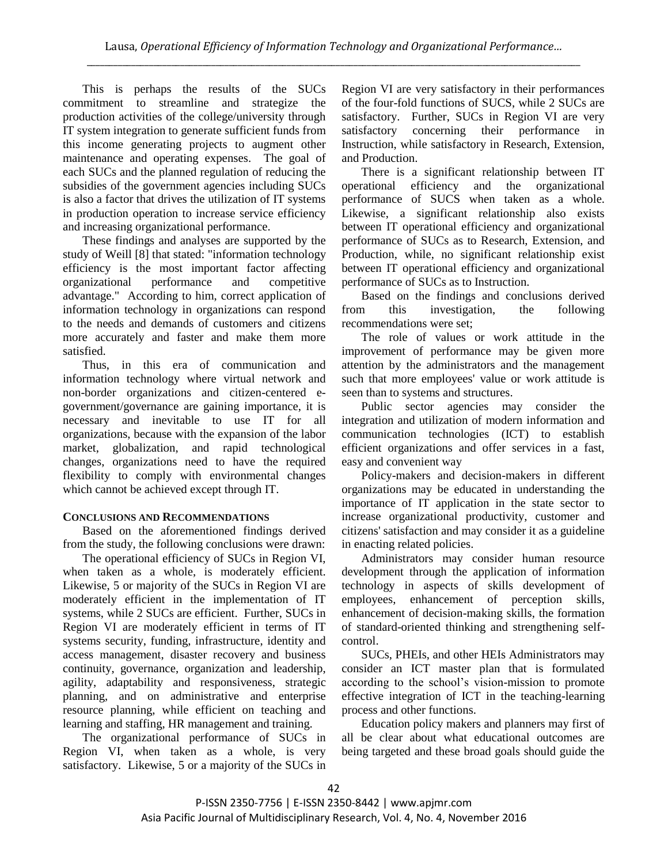This is perhaps the results of the SUCs commitment to streamline and strategize the production activities of the college/university through IT system integration to generate sufficient funds from this income generating projects to augment other maintenance and operating expenses. The goal of each SUCs and the planned regulation of reducing the subsidies of the government agencies including SUCs is also a factor that drives the utilization of IT systems in production operation to increase service efficiency and increasing organizational performance.

These findings and analyses are supported by the study of Weill [8] that stated: "information technology efficiency is the most important factor affecting organizational performance and competitive advantage." According to him, correct application of information technology in organizations can respond to the needs and demands of customers and citizens more accurately and faster and make them more satisfied.

Thus, in this era of communication and information technology where virtual network and non-border organizations and citizen-centered egovernment/governance are gaining importance, it is necessary and inevitable to use IT for all organizations, because with the expansion of the labor market, globalization, and rapid technological changes, organizations need to have the required flexibility to comply with environmental changes which cannot be achieved except through IT.

# **CONCLUSIONS AND RECOMMENDATIONS**

Based on the aforementioned findings derived from the study, the following conclusions were drawn:

The operational efficiency of SUCs in Region VI, when taken as a whole, is moderately efficient. Likewise, 5 or majority of the SUCs in Region VI are moderately efficient in the implementation of IT systems, while 2 SUCs are efficient. Further, SUCs in Region VI are moderately efficient in terms of IT systems security, funding, infrastructure, identity and access management, disaster recovery and business continuity, governance, organization and leadership, agility, adaptability and responsiveness, strategic planning, and on administrative and enterprise resource planning, while efficient on teaching and learning and staffing, HR management and training.

The organizational performance of SUCs in Region VI, when taken as a whole, is very satisfactory. Likewise, 5 or a majority of the SUCs in

Region VI are very satisfactory in their performances of the four-fold functions of SUCS, while 2 SUCs are satisfactory. Further, SUCs in Region VI are very satisfactory concerning their performance in Instruction, while satisfactory in Research, Extension, and Production.

There is a significant relationship between IT operational efficiency and the organizational performance of SUCS when taken as a whole. Likewise, a significant relationship also exists between IT operational efficiency and organizational performance of SUCs as to Research, Extension, and Production, while, no significant relationship exist between IT operational efficiency and organizational performance of SUCs as to Instruction.

Based on the findings and conclusions derived from this investigation, the following recommendations were set;

The role of values or work attitude in the improvement of performance may be given more attention by the administrators and the management such that more employees' value or work attitude is seen than to systems and structures.

Public sector agencies may consider the integration and utilization of modern information and communication technologies (ICT) to establish efficient organizations and offer services in a fast, easy and convenient way

Policy-makers and decision-makers in different organizations may be educated in understanding the importance of IT application in the state sector to increase organizational productivity, customer and citizens' satisfaction and may consider it as a guideline in enacting related policies.

Administrators may consider human resource development through the application of information technology in aspects of skills development of employees, enhancement of perception skills, enhancement of decision-making skills, the formation of standard-oriented thinking and strengthening selfcontrol.

SUCs, PHEIs, and other HEIs Administrators may consider an ICT master plan that is formulated according to the school's vision-mission to promote effective integration of ICT in the teaching-learning process and other functions.

Education policy makers and planners may first of all be clear about what educational outcomes are being targeted and these broad goals should guide the